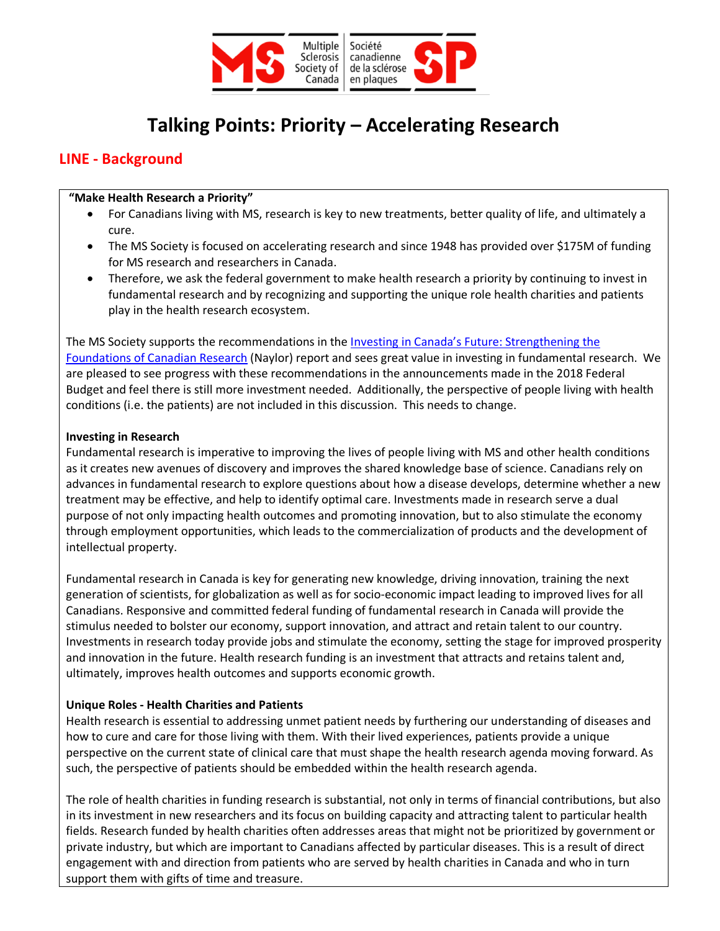

# **Talking Points: Priority – Accelerating Research**

## **LINE - Background**

#### **"Make Health Research a Priority"**

- For Canadians living with MS, research is key to new treatments, better quality of life, and ultimately a cure.
- The MS Society is focused on accelerating research and since 1948 has provided over \$175M of funding for MS research and researchers in Canada.
- Therefore, we ask the federal government to make health research a priority by continuing to invest in fundamental research and by recognizing and supporting the unique role health charities and patients play in the health research ecosystem.

The MS Society supports the recommendations in the *Investing in Canada's Future: Strengthening the* Foundations of Canadian Research (Naylor) report and sees great value in investing in fundamental research. We are pleased to see progress with these recommendations in the announcements made in the 2018 Federal Budget and feel there is still more investment needed. Additionally, the perspective of people living with health conditions (i.e. the patients) are not included in this discussion. This needs to change.

#### **Investing in Research**

Fundamental research is imperative to improving the lives of people living with MS and other health conditions as it creates new avenues of discovery and improves the shared knowledge base of science. Canadians rely on advances in fundamental research to explore questions about how a disease develops, determine whether a new treatment may be effective, and help to identify optimal care. Investments made in research serve a dual purpose of not only impacting health outcomes and promoting innovation, but to also stimulate the economy through employment opportunities, which leads to the commercialization of products and the development of intellectual property.

Fundamental research in Canada is key for generating new knowledge, driving innovation, training the next generation of scientists, for globalization as well as for socio-economic impact leading to improved lives for all Canadians. Responsive and committed federal funding of fundamental research in Canada will provide the stimulus needed to bolster our economy, support innovation, and attract and retain talent to our country. Investments in research today provide jobs and stimulate the economy, setting the stage for improved prosperity and innovation in the future. Health research funding is an investment that attracts and retains talent and, ultimately, improves health outcomes and supports economic growth.

### **Unique Roles - Health Charities and Patients**

Health research is essential to addressing unmet patient needs by furthering our understanding of diseases and how to cure and care for those living with them. With their lived experiences, patients provide a unique perspective on the current state of clinical care that must shape the health research agenda moving forward. As such, the perspective of patients should be embedded within the health research agenda.

The role of health charities in funding research is substantial, not only in terms of financial contributions, but also in its investment in new researchers and its focus on building capacity and attracting talent to particular health fields. Research funded by health charities often addresses areas that might not be prioritized by government or private industry, but which are important to Canadians affected by particular diseases. This is a result of direct engagement with and direction from patients who are served by health charities in Canada and who in turn support them with gifts of time and treasure.